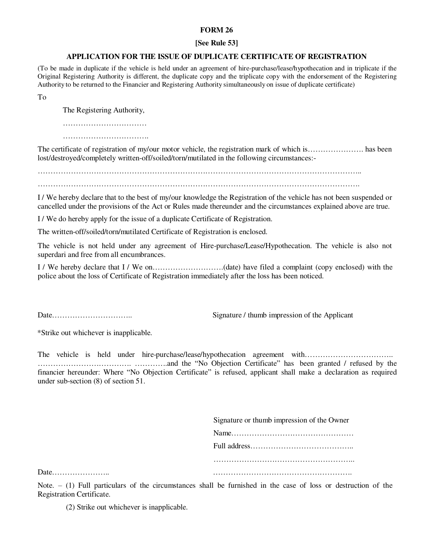## **FORM 26**

### **[See Rule 53]**

### **APPLICATION FOR THE ISSUE OF DUPLICATE CERTIFICATE OF REGISTRATION**

(To be made in duplicate if the vehicle is held under an agreement of hire-purchase/lease/hypothecation and in triplicate if the Original Registering Authority is different, the duplicate copy and the triplicate copy with the endorsement of the Registering Authority to be returned to the Financier and Registering Authority simultaneously on issue of duplicate certificate)

To

The Registering Authority,

……………………………

The certificate of registration of my/our motor vehicle, the registration mark of which is…………………. has been lost/destroyed/completely written-off/soiled/torn/mutilated in the following circumstances:-

………………………………………………………………………………………………………………..

I / We hereby declare that to the best of my/our knowledge the Registration of the vehicle has not been suspended or cancelled under the provisions of the Act or Rules made thereunder and the circumstances explained above are true.

I / We do hereby apply for the issue of a duplicate Certificate of Registration.

The written-off/soiled/torn/mutilated Certificate of Registration is enclosed.

The vehicle is not held under any agreement of Hire-purchase/Lease/Hypothecation. The vehicle is also not superdari and free from all encumbrances.

I / We hereby declare that I / We on……………………….(date) have filed a complaint (copy enclosed) with the police about the loss of Certificate of Registration immediately after the loss has been noticed.

Date………………………….. Signature / thumb impression of the Applicant

\*Strike out whichever is inapplicable.

The vehicle is held under hire-purchase/lease/hypothecation agreement with………………………………… ………………………………. ………….and the "No Objection Certificate" has been granted / refused by the financier hereunder: Where "No Objection Certificate" is refused, applicant shall make a declaration as required under sub-section (8) of section 51.

Signature or thumb impression of the Owner

Note.  $-$  (1) Full particulars of the circumstances shall be furnished in the case of loss or destruction of the Registration Certificate.

(2) Strike out whichever is inapplicable.